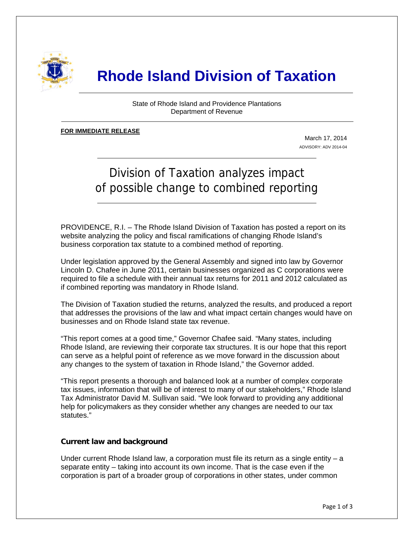

# **Rhode Island Division of Taxation**

State of Rhode Island and Providence Plantations Department of Revenue

#### **FOR IMMEDIATE RELEASE** ٦

j

March 17, 2014 ADVISORY: ADV 2014-04

## Division of Taxation analyzes impact of possible change to combined reporting

PROVIDENCE, R.I. – The Rhode Island Division of Taxation has posted a report on its website analyzing the policy and fiscal ramifications of changing Rhode Island's business corporation tax statute to a combined method of reporting.

Under legislation approved by the General Assembly and signed into law by Governor Lincoln D. Chafee in June 2011, certain businesses organized as C corporations were required to file a schedule with their annual tax returns for 2011 and 2012 calculated as if combined reporting was mandatory in Rhode Island.

The Division of Taxation studied the returns, analyzed the results, and produced a report that addresses the provisions of the law and what impact certain changes would have on businesses and on Rhode Island state tax revenue.

"This report comes at a good time," Governor Chafee said. "Many states, including Rhode Island, are reviewing their corporate tax structures. It is our hope that this report can serve as a helpful point of reference as we move forward in the discussion about any changes to the system of taxation in Rhode Island," the Governor added.

"This report presents a thorough and balanced look at a number of complex corporate tax issues, information that will be of interest to many of our stakeholders," Rhode Island Tax Administrator David M. Sullivan said. "We look forward to providing any additional help for policymakers as they consider whether any changes are needed to our tax statutes."

### **Current law and background**

Under current Rhode Island law, a corporation must file its return as a single entity  $-a$ separate entity – taking into account its own income. That is the case even if the corporation is part of a broader group of corporations in other states, under common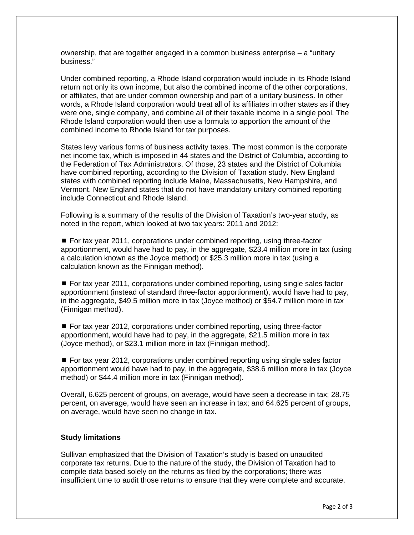ownership, that are together engaged in a common business enterprise – a "unitary business."

Under combined reporting, a Rhode Island corporation would include in its Rhode Island return not only its own income, but also the combined income of the other corporations, or affiliates, that are under common ownership and part of a unitary business. In other words, a Rhode Island corporation would treat all of its affiliates in other states as if they were one, single company, and combine all of their taxable income in a single pool. The Rhode Island corporation would then use a formula to apportion the amount of the combined income to Rhode Island for tax purposes.

States levy various forms of business activity taxes. The most common is the corporate net income tax, which is imposed in 44 states and the District of Columbia, according to the Federation of Tax Administrators. Of those, 23 states and the District of Columbia have combined reporting, according to the Division of Taxation study. New England states with combined reporting include Maine, Massachusetts, New Hampshire, and Vermont. New England states that do not have mandatory unitary combined reporting include Connecticut and Rhode Island.

Following is a summary of the results of the Division of Taxation's two-year study, as noted in the report, which looked at two tax years: 2011 and 2012:

■ For tax year 2011, corporations under combined reporting, using three-factor apportionment, would have had to pay, in the aggregate, \$23.4 million more in tax (using a calculation known as the Joyce method) or \$25.3 million more in tax (using a calculation known as the Finnigan method).

 For tax year 2011, corporations under combined reporting, using single sales factor apportionment (instead of standard three-factor apportionment), would have had to pay, in the aggregate, \$49.5 million more in tax (Joyce method) or \$54.7 million more in tax (Finnigan method).

■ For tax year 2012, corporations under combined reporting, using three-factor apportionment, would have had to pay, in the aggregate, \$21.5 million more in tax (Joyce method), or \$23.1 million more in tax (Finnigan method).

 For tax year 2012, corporations under combined reporting using single sales factor apportionment would have had to pay, in the aggregate, \$38.6 million more in tax (Joyce method) or \$44.4 million more in tax (Finnigan method).

Overall, 6.625 percent of groups, on average, would have seen a decrease in tax; 28.75 percent, on average, would have seen an increase in tax; and 64.625 percent of groups, on average, would have seen no change in tax.

### **Study limitations**

Sullivan emphasized that the Division of Taxation's study is based on unaudited corporate tax returns. Due to the nature of the study, the Division of Taxation had to compile data based solely on the returns as filed by the corporations; there was insufficient time to audit those returns to ensure that they were complete and accurate.